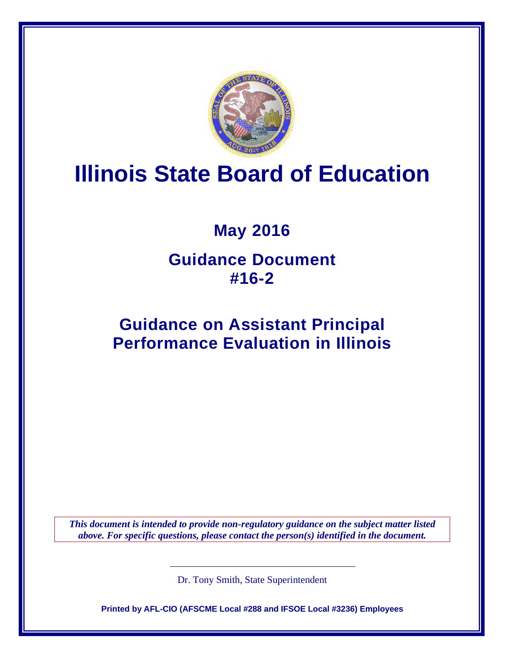

# **Illinois State Board of Education**

## **May 2016**

## **Guidance Document #16-2**

## **Guidance on Assistant Principal Performance Evaluation in Illinois**

*This document is intended to provide non-regulatory guidance on the subject matter listed above. For specific questions, please contact the person(s) identified in the document.*

Dr. Tony Smith, State Superintendent

**Printed by AFL-CIO (AFSCME Local #288 and IFSOE Local #3236) Employees**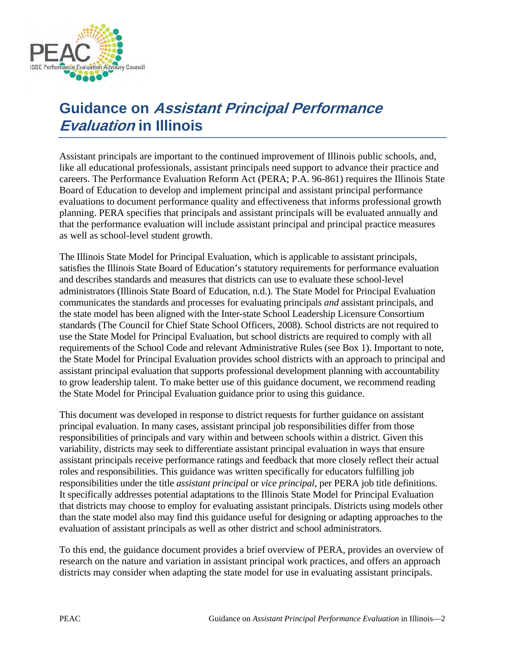

## **Guidance on Assistant Principal Performance Evaluation in Illinois**

Assistant principals are important to the continued improvement of Illinois public schools, and, like all educational professionals, assistant principals need support to advance their practice and careers. The Performance Evaluation Reform Act (PERA; P.A. 96-861) requires the Illinois State Board of Education to develop and implement principal and assistant principal performance evaluations to document performance quality and effectiveness that informs professional growth planning. PERA specifies that principals and assistant principals will be evaluated annually and that the performance evaluation will include assistant principal and principal practice measures as well as school-level student growth.

The Illinois State Model for Principal Evaluation, which is applicable to assistant principals, satisfies the Illinois State Board of Education's statutory requirements for performance evaluation and describes standards and measures that districts can use to evaluate these school-level administrators (Illinois State Board of Education, n.d.). The State Model for Principal Evaluation communicates the standards and processes for evaluating principals *and* assistant principals, and the state model has been aligned with the Inter-state School Leadership Licensure Consortium standards (The Council for Chief State School Officers, 2008). School districts are not required to use the State Model for Principal Evaluation, but school districts are required to comply with all requirements of the School Code and relevant Administrative Rules (see Box 1). Important to note, the State Model for Principal Evaluation provides school districts with an approach to principal and assistant principal evaluation that supports professional development planning with accountability to grow leadership talent. To make better use of this guidance document, we recommend reading the State Model for Principal Evaluation guidance prior to using this guidance.

This document was developed in response to district requests for further guidance on assistant principal evaluation. In many cases, assistant principal job responsibilities differ from those responsibilities of principals and vary within and between schools within a district. Given this variability, districts may seek to differentiate assistant principal evaluation in ways that ensure assistant principals receive performance ratings and feedback that more closely reflect their actual roles and responsibilities. This guidance was written specifically for educators fulfilling job responsibilities under the title *assistant principal* or *vice principal*, per PERA job title definitions. It specifically addresses potential adaptations to the Illinois State Model for Principal Evaluation that districts may choose to employ for evaluating assistant principals. Districts using models other than the state model also may find this guidance useful for designing or adapting approaches to the evaluation of assistant principals as well as other district and school administrators.

To this end, the guidance document provides a brief overview of PERA, provides an overview of research on the nature and variation in assistant principal work practices, and offers an approach districts may consider when adapting the state model for use in evaluating assistant principals.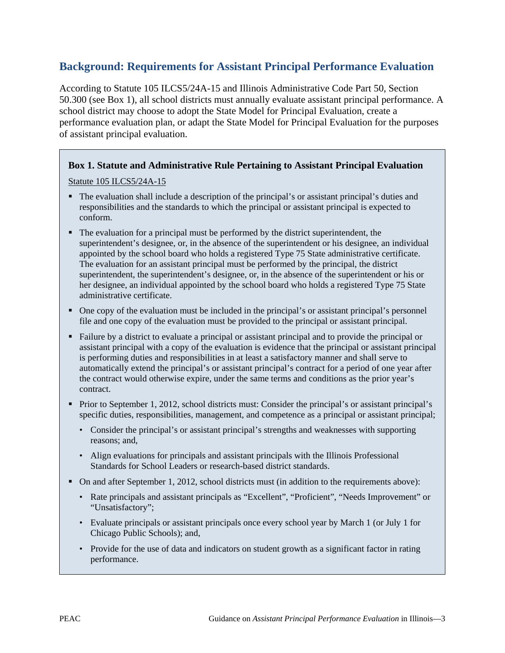### **Background: Requirements for Assistant Principal Performance Evaluation**

According to Statute 105 ILCS5/24A-15 and Illinois Administrative Code Part 50, Section 50.300 (see Box 1), all school districts must annually evaluate assistant principal performance. A school district may choose to adopt the State Model for Principal Evaluation, create a performance evaluation plan, or adapt the State Model for Principal Evaluation for the purposes of assistant principal evaluation.

#### **Box 1. Statute and Administrative Rule Pertaining to Assistant Principal Evaluation**

Statute 105 ILCS5/24A-15

- The evaluation shall include a description of the principal's or assistant principal's duties and responsibilities and the standards to which the principal or assistant principal is expected to conform.
- The evaluation for a principal must be performed by the district superintendent, the superintendent's designee, or, in the absence of the superintendent or his designee, an individual appointed by the school board who holds a registered Type 75 State administrative certificate. The evaluation for an assistant principal must be performed by the principal, the district superintendent, the superintendent's designee, or, in the absence of the superintendent or his or her designee, an individual appointed by the school board who holds a registered Type 75 State administrative certificate.
- One copy of the evaluation must be included in the principal's or assistant principal's personnel file and one copy of the evaluation must be provided to the principal or assistant principal.
- Failure by a district to evaluate a principal or assistant principal and to provide the principal or assistant principal with a copy of the evaluation is evidence that the principal or assistant principal is performing duties and responsibilities in at least a satisfactory manner and shall serve to automatically extend the principal's or assistant principal's contract for a period of one year after the contract would otherwise expire, under the same terms and conditions as the prior year's contract.
- Prior to September 1, 2012, school districts must: Consider the principal's or assistant principal's specific duties, responsibilities, management, and competence as a principal or assistant principal;
	- Consider the principal's or assistant principal's strengths and weaknesses with supporting reasons; and,
	- Align evaluations for principals and assistant principals with the Illinois Professional Standards for School Leaders or research-based district standards.
- On and after September 1, 2012, school districts must (in addition to the requirements above):
	- Rate principals and assistant principals as "Excellent", "Proficient", "Needs Improvement" or "Unsatisfactory";
	- Evaluate principals or assistant principals once every school year by March 1 (or July 1 for Chicago Public Schools); and,
	- Provide for the use of data and indicators on student growth as a significant factor in rating performance.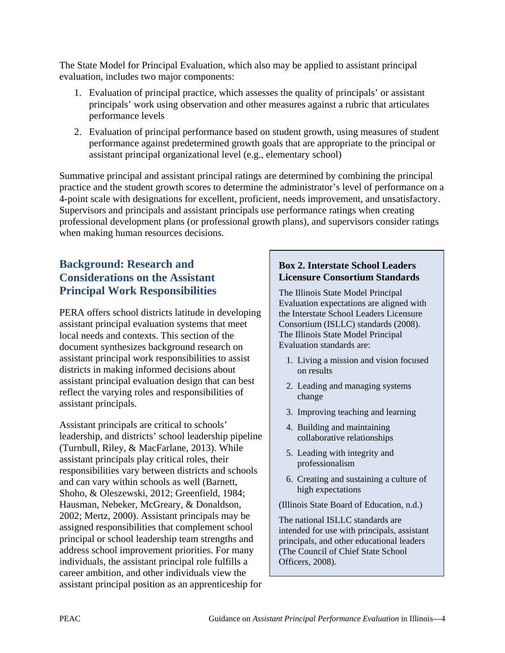The State Model for Principal Evaluation, which also may be applied to assistant principal evaluation, includes two major components:

- 1. Evaluation of principal practice, which assesses the quality of principals' or assistant principals' work using observation and other measures against a rubric that articulates performance levels
- 2. Evaluation of principal performance based on student growth, using measures of student performance against predetermined growth goals that are appropriate to the principal or assistant principal organizational level (e.g., elementary school)

Summative principal and assistant principal ratings are determined by combining the principal practice and the student growth scores to determine the administrator's level of performance on a 4-point scale with designations for excellent, proficient, needs improvement, and unsatisfactory. Supervisors and principals and assistant principals use performance ratings when creating professional development plans (or professional growth plans), and supervisors consider ratings when making human resources decisions.

## **Background: Research and Considerations on the Assistant Principal Work Responsibilities**

PERA offers school districts latitude in developing assistant principal evaluation systems that meet local needs and contexts. This section of the document synthesizes background research on assistant principal work responsibilities to assist districts in making informed decisions about assistant principal evaluation design that can best reflect the varying roles and responsibilities of assistant principals.

Assistant principals are critical to schools' leadership, and districts' school leadership pipeline (Turnbull, Riley, & MacFarlane, 2013). While assistant principals play critical roles, their responsibilities vary between districts and schools and can vary within schools as well (Barnett, Shoho, & Oleszewski, 2012; Greenfield, 1984; Hausman, Nebeker, McGreary, & Donaldson, 2002; Mertz, 2000). Assistant principals may be assigned responsibilities that complement school principal or school leadership team strengths and address school improvement priorities. For many individuals, the assistant principal role fulfills a career ambition, and other individuals view the assistant principal position as an apprenticeship for

#### **Box 2. Interstate School Leaders Licensure Consortium Standards**

The Illinois State Model Principal Evaluation expectations are aligned with the Interstate School Leaders Licensure Consortium (ISLLC) standards (2008). The Illinois State Model Principal Evaluation standards are:

- 1. Living a mission and vision focused on results
- 2. Leading and managing systems change
- 3. Improving teaching and learning
- 4. Building and maintaining collaborative relationships
- 5. Leading with integrity and professionalism
- 6. Creating and sustaining a culture of high expectations

(Illinois State Board of Education, n.d.)

The national ISLLC standards are intended for use with principals, assistant principals, and other educational leaders (The Council of Chief State School Officers, 2008).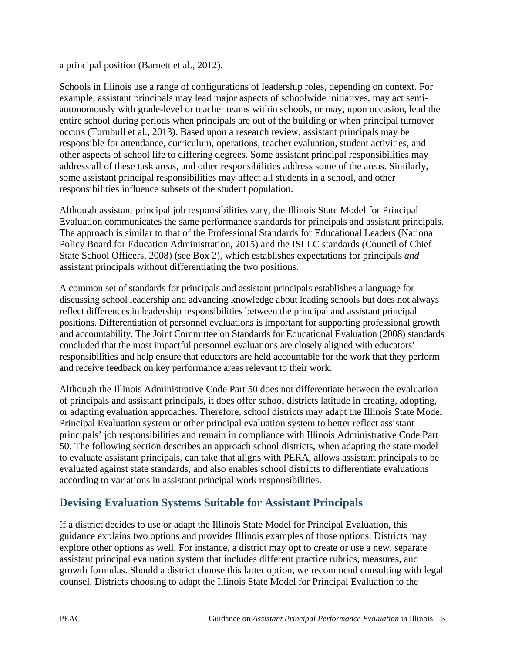a principal position (Barnett et al., 2012).

Schools in Illinois use a range of configurations of leadership roles, depending on context. For example, assistant principals may lead major aspects of schoolwide initiatives, may act semiautonomously with grade-level or teacher teams within schools, or may, upon occasion, lead the entire school during periods when principals are out of the building or when principal turnover occurs (Turnbull et al., 2013). Based upon a research review, assistant principals may be responsible for attendance, curriculum, operations, teacher evaluation, student activities, and other aspects of school life to differing degrees. Some assistant principal responsibilities may address all of these task areas, and other responsibilities address some of the areas. Similarly, some assistant principal responsibilities may affect all students in a school, and other responsibilities influence subsets of the student population.

Although assistant principal job responsibilities vary, the Illinois State Model for Principal Evaluation communicates the same performance standards for principals and assistant principals. The approach is similar to that of the Professional Standards for Educational Leaders (National Policy Board for Education Administration, 2015) and the ISLLC standards (Council of Chief State School Officers, 2008) (see Box 2), which establishes expectations for principals *and*  assistant principals without differentiating the two positions.

A common set of standards for principals and assistant principals establishes a language for discussing school leadership and advancing knowledge about leading schools but does not always reflect differences in leadership responsibilities between the principal and assistant principal positions. Differentiation of personnel evaluations is important for supporting professional growth and accountability. The Joint Committee on Standards for Educational Evaluation (2008) standards concluded that the most impactful personnel evaluations are closely aligned with educators' responsibilities and help ensure that educators are held accountable for the work that they perform and receive feedback on key performance areas relevant to their work.

Although the Illinois Administrative Code Part 50 does not differentiate between the evaluation of principals and assistant principals, it does offer school districts latitude in creating, adopting, or adapting evaluation approaches. Therefore, school districts may adapt the Illinois State Model Principal Evaluation system or other principal evaluation system to better reflect assistant principals' job responsibilities and remain in compliance with Illinois Administrative Code Part 50. The following section describes an approach school districts, when adapting the state model to evaluate assistant principals, can take that aligns with PERA, allows assistant principals to be evaluated against state standards, and also enables school districts to differentiate evaluations according to variations in assistant principal work responsibilities.

## **Devising Evaluation Systems Suitable for Assistant Principals**

If a district decides to use or adapt the Illinois State Model for Principal Evaluation, this guidance explains two options and provides Illinois examples of those options. Districts may explore other options as well. For instance, a district may opt to create or use a new, separate assistant principal evaluation system that includes different practice rubrics, measures, and growth formulas. Should a district choose this latter option, we recommend consulting with legal counsel. Districts choosing to adapt the Illinois State Model for Principal Evaluation to the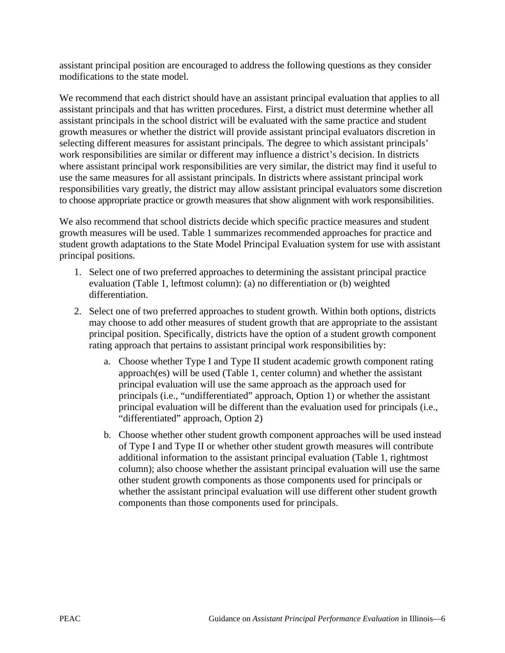assistant principal position are encouraged to address the following questions as they consider modifications to the state model.

We recommend that each district should have an assistant principal evaluation that applies to all assistant principals and that has written procedures. First, a district must determine whether all assistant principals in the school district will be evaluated with the same practice and student growth measures or whether the district will provide assistant principal evaluators discretion in selecting different measures for assistant principals. The degree to which assistant principals' work responsibilities are similar or different may influence a district's decision. In districts where assistant principal work responsibilities are very similar, the district may find it useful to use the same measures for all assistant principals. In districts where assistant principal work responsibilities vary greatly, the district may allow assistant principal evaluators some discretion to choose appropriate practice or growth measures that show alignment with work responsibilities.

We also recommend that school districts decide which specific practice measures and student growth measures will be used. Table 1 summarizes recommended approaches for practice and student growth adaptations to the State Model Principal Evaluation system for use with assistant principal positions.

- 1. Select one of two preferred approaches to determining the assistant principal practice evaluation (Table 1, leftmost column): (a) no differentiation or (b) weighted differentiation.
- 2. Select one of two preferred approaches to student growth. Within both options, districts may choose to add other measures of student growth that are appropriate to the assistant principal position. Specifically, districts have the option of a student growth component rating approach that pertains to assistant principal work responsibilities by:
	- a. Choose whether Type I and Type II student academic growth component rating approach(es) will be used (Table 1, center column) and whether the assistant principal evaluation will use the same approach as the approach used for principals (i.e., "undifferentiated" approach, Option 1) or whether the assistant principal evaluation will be different than the evaluation used for principals (i.e., "differentiated" approach, Option 2)
	- b. Choose whether other student growth component approaches will be used instead of Type I and Type II or whether other student growth measures will contribute additional information to the assistant principal evaluation (Table 1, rightmost column); also choose whether the assistant principal evaluation will use the same other student growth components as those components used for principals or whether the assistant principal evaluation will use different other student growth components than those components used for principals.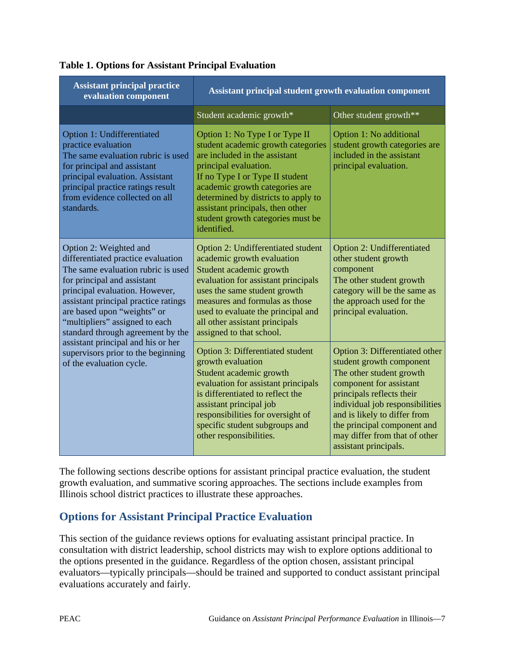| <b>Assistant principal practice</b><br>evaluation component                                                                                                                                                                                                                                                                                                                                                               | Assistant principal student growth evaluation component                                                                                                                                                                                                                                                                            |                                                                                                                                                                                                                                                                                                            |  |  |
|---------------------------------------------------------------------------------------------------------------------------------------------------------------------------------------------------------------------------------------------------------------------------------------------------------------------------------------------------------------------------------------------------------------------------|------------------------------------------------------------------------------------------------------------------------------------------------------------------------------------------------------------------------------------------------------------------------------------------------------------------------------------|------------------------------------------------------------------------------------------------------------------------------------------------------------------------------------------------------------------------------------------------------------------------------------------------------------|--|--|
|                                                                                                                                                                                                                                                                                                                                                                                                                           | Student academic growth*                                                                                                                                                                                                                                                                                                           | Other student growth**                                                                                                                                                                                                                                                                                     |  |  |
| Option 1: Undifferentiated<br>practice evaluation<br>The same evaluation rubric is used<br>for principal and assistant<br>principal evaluation. Assistant<br>principal practice ratings result<br>from evidence collected on all<br>standards.                                                                                                                                                                            | Option 1: No Type I or Type II<br>student academic growth categories<br>are included in the assistant<br>principal evaluation.<br>If no Type I or Type II student<br>academic growth categories are<br>determined by districts to apply to<br>assistant principals, then other<br>student growth categories must be<br>identified. | Option 1: No additional<br>student growth categories are<br>included in the assistant<br>principal evaluation.                                                                                                                                                                                             |  |  |
| Option 2: Weighted and<br>differentiated practice evaluation<br>The same evaluation rubric is used<br>for principal and assistant<br>principal evaluation. However,<br>assistant principal practice ratings<br>are based upon "weights" or<br>"multipliers" assigned to each<br>standard through agreement by the<br>assistant principal and his or her<br>supervisors prior to the beginning<br>of the evaluation cycle. | Option 2: Undifferentiated student<br>academic growth evaluation<br>Student academic growth<br>evaluation for assistant principals<br>uses the same student growth<br>measures and formulas as those<br>used to evaluate the principal and<br>all other assistant principals<br>assigned to that school.                           | <b>Option 2: Undifferentiated</b><br>other student growth<br>component<br>The other student growth<br>category will be the same as<br>the approach used for the<br>principal evaluation.                                                                                                                   |  |  |
|                                                                                                                                                                                                                                                                                                                                                                                                                           | Option 3: Differentiated student<br>growth evaluation<br>Student academic growth<br>evaluation for assistant principals<br>is differentiated to reflect the<br>assistant principal job<br>responsibilities for oversight of<br>specific student subgroups and<br>other responsibilities.                                           | Option 3: Differentiated other<br>student growth component<br>The other student growth<br>component for assistant<br>principals reflects their<br>individual job responsibilities<br>and is likely to differ from<br>the principal component and<br>may differ from that of other<br>assistant principals. |  |  |

#### **Table 1. Options for Assistant Principal Evaluation**

The following sections describe options for assistant principal practice evaluation, the student growth evaluation, and summative scoring approaches. The sections include examples from Illinois school district practices to illustrate these approaches.

### **Options for Assistant Principal Practice Evaluation**

This section of the guidance reviews options for evaluating assistant principal practice. In consultation with district leadership, school districts may wish to explore options additional to the options presented in the guidance. Regardless of the option chosen, assistant principal evaluators—typically principals—should be trained and supported to conduct assistant principal evaluations accurately and fairly.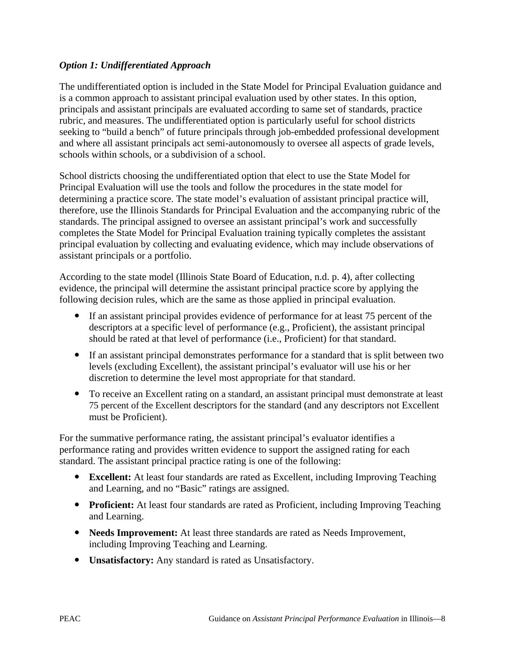#### *Option 1: Undifferentiated Approach*

The undifferentiated option is included in the State Model for Principal Evaluation guidance and is a common approach to assistant principal evaluation used by other states. In this option, principals and assistant principals are evaluated according to same set of standards, practice rubric, and measures. The undifferentiated option is particularly useful for school districts seeking to "build a bench" of future principals through job-embedded professional development and where all assistant principals act semi-autonomously to oversee all aspects of grade levels, schools within schools, or a subdivision of a school.

School districts choosing the undifferentiated option that elect to use the State Model for Principal Evaluation will use the tools and follow the procedures in the state model for determining a practice score. The state model's evaluation of assistant principal practice will, therefore, use the Illinois Standards for Principal Evaluation and the accompanying rubric of the standards. The principal assigned to oversee an assistant principal's work and successfully completes the State Model for Principal Evaluation training typically completes the assistant principal evaluation by collecting and evaluating evidence, which may include observations of assistant principals or a portfolio.

According to the state model (Illinois State Board of Education, n.d. p. 4), after collecting evidence, the principal will determine the assistant principal practice score by applying the following decision rules, which are the same as those applied in principal evaluation.

- If an assistant principal provides evidence of performance for at least 75 percent of the descriptors at a specific level of performance (e.g., Proficient), the assistant principal should be rated at that level of performance (i.e., Proficient) for that standard.
- If an assistant principal demonstrates performance for a standard that is split between two levels (excluding Excellent), the assistant principal's evaluator will use his or her discretion to determine the level most appropriate for that standard.
- To receive an Excellent rating on a standard, an assistant principal must demonstrate at least 75 percent of the Excellent descriptors for the standard (and any descriptors not Excellent must be Proficient).

For the summative performance rating, the assistant principal's evaluator identifies a performance rating and provides written evidence to support the assigned rating for each standard. The assistant principal practice rating is one of the following:

- **Excellent:** At least four standards are rated as Excellent, including Improving Teaching and Learning, and no "Basic" ratings are assigned.
- **Proficient:** At least four standards are rated as Proficient, including Improving Teaching and Learning.
- **Needs Improvement:** At least three standards are rated as Needs Improvement, including Improving Teaching and Learning.
- **Unsatisfactory:** Any standard is rated as Unsatisfactory.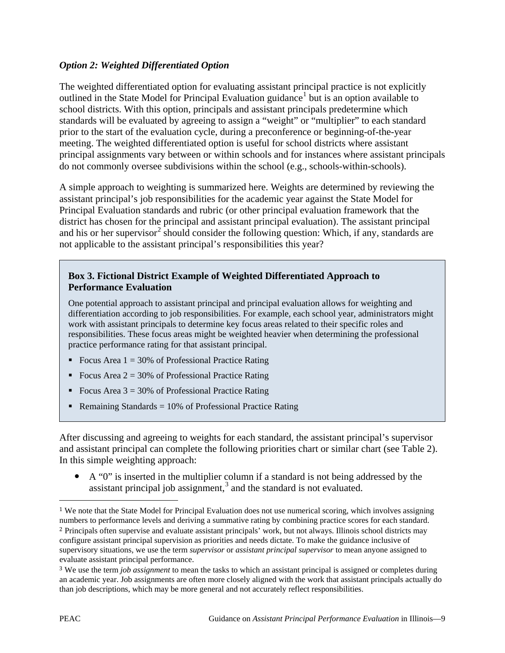#### *Option 2: Weighted Differentiated Option*

The weighted differentiated option for evaluating assistant principal practice is not explicitly outlined in the State Model for Principal Evaluation guidance<sup>[1](#page-8-0)</sup> but is an option available to school districts. With this option, principals and assistant principals predetermine which standards will be evaluated by agreeing to assign a "weight" or "multiplier" to each standard prior to the start of the evaluation cycle, during a preconference or beginning-of-the-year meeting. The weighted differentiated option is useful for school districts where assistant principal assignments vary between or within schools and for instances where assistant principals do not commonly oversee subdivisions within the school (e.g., schools-within-schools).

A simple approach to weighting is summarized here. Weights are determined by reviewing the assistant principal's job responsibilities for the academic year against the State Model for Principal Evaluation standards and rubric (or other principal evaluation framework that the district has chosen for the principal and assistant principal evaluation). The assistant principal and his or her supervisor<sup>[2](#page-8-1)</sup> should consider the following question: Which, if any, standards are not applicable to the assistant principal's responsibilities this year?

#### **Box 3. Fictional District Example of Weighted Differentiated Approach to Performance Evaluation**

One potential approach to assistant principal and principal evaluation allows for weighting and differentiation according to job responsibilities. For example, each school year, administrators might work with assistant principals to determine key focus areas related to their specific roles and responsibilities. These focus areas might be weighted heavier when determining the professional practice performance rating for that assistant principal.

- Focus Area  $1 = 30\%$  of Professional Practice Rating
- Focus Area  $2 = 30\%$  of Professional Practice Rating
- Focus Area  $3 = 30\%$  of Professional Practice Rating
- Remaining Standards =  $10\%$  of Professional Practice Rating

After discussing and agreeing to weights for each standard, the assistant principal's supervisor and assistant principal can complete the following priorities chart or similar chart (see Table 2). In this simple weighting approach:

 A "0" is inserted in the multiplier column if a standard is not being addressed by the assistant principal job assignment, [3](#page-8-2) and the standard is not evaluated.

 $\overline{a}$ 

<span id="page-8-1"></span><span id="page-8-0"></span><sup>1</sup> We note that the State Model for Principal Evaluation does not use numerical scoring, which involves assigning numbers to performance levels and deriving a summative rating by combining practice scores for each standard. 2 Principals often supervise and evaluate assistant principals' work, but not always. Illinois school districts may configure assistant principal supervision as priorities and needs dictate. To make the guidance inclusive of supervisory situations, we use the term *supervisor* or *assistant principal supervisor* to mean anyone assigned to evaluate assistant principal performance.

<span id="page-8-2"></span><sup>3</sup> We use the term *job assignment* to mean the tasks to which an assistant principal is assigned or completes during an academic year. Job assignments are often more closely aligned with the work that assistant principals actually do than job descriptions, which may be more general and not accurately reflect responsibilities.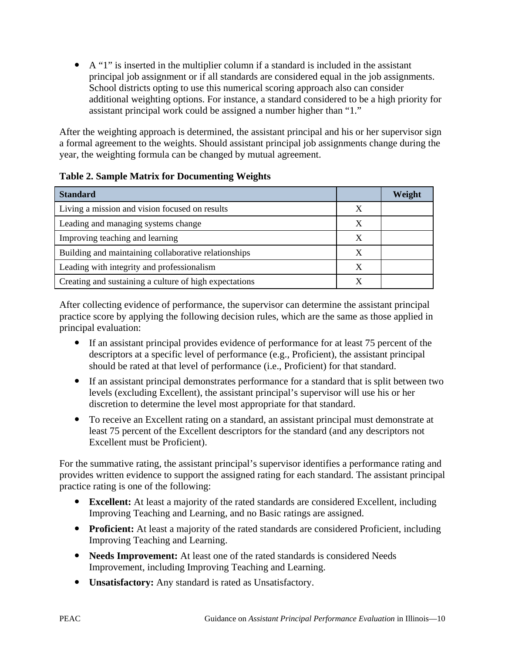A "1" is inserted in the multiplier column if a standard is included in the assistant principal job assignment or if all standards are considered equal in the job assignments. School districts opting to use this numerical scoring approach also can consider additional weighting options. For instance, a standard considered to be a high priority for assistant principal work could be assigned a number higher than "1."

After the weighting approach is determined, the assistant principal and his or her supervisor sign a formal agreement to the weights. Should assistant principal job assignments change during the year, the weighting formula can be changed by mutual agreement.

#### **Table 2. Sample Matrix for Documenting Weights**

| <b>Standard</b>                                        |  | Weight |
|--------------------------------------------------------|--|--------|
| Living a mission and vision focused on results         |  |        |
| Leading and managing systems change                    |  |        |
| Improving teaching and learning                        |  |        |
| Building and maintaining collaborative relationships   |  |        |
| Leading with integrity and professionalism             |  |        |
| Creating and sustaining a culture of high expectations |  |        |

After collecting evidence of performance, the supervisor can determine the assistant principal practice score by applying the following decision rules, which are the same as those applied in principal evaluation:

- If an assistant principal provides evidence of performance for at least 75 percent of the descriptors at a specific level of performance (e.g., Proficient), the assistant principal should be rated at that level of performance (i.e., Proficient) for that standard.
- If an assistant principal demonstrates performance for a standard that is split between two levels (excluding Excellent), the assistant principal's supervisor will use his or her discretion to determine the level most appropriate for that standard.
- To receive an Excellent rating on a standard, an assistant principal must demonstrate at least 75 percent of the Excellent descriptors for the standard (and any descriptors not Excellent must be Proficient).

For the summative rating, the assistant principal's supervisor identifies a performance rating and provides written evidence to support the assigned rating for each standard. The assistant principal practice rating is one of the following:

- **Excellent:** At least a majority of the rated standards are considered Excellent, including Improving Teaching and Learning, and no Basic ratings are assigned.
- **Proficient:** At least a majority of the rated standards are considered Proficient, including Improving Teaching and Learning.
- **Needs Improvement:** At least one of the rated standards is considered Needs Improvement, including Improving Teaching and Learning.
- **Unsatisfactory:** Any standard is rated as Unsatisfactory.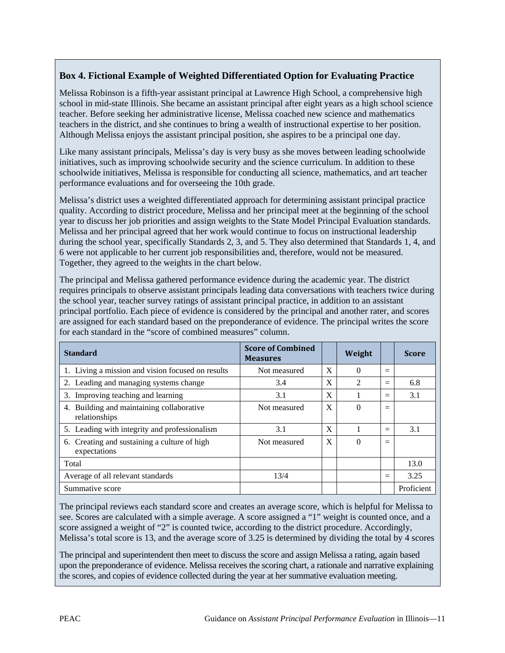#### **Box 4. Fictional Example of Weighted Differentiated Option for Evaluating Practice**

Melissa Robinson is a fifth-year assistant principal at Lawrence High School, a comprehensive high school in mid-state Illinois. She became an assistant principal after eight years as a high school science teacher. Before seeking her administrative license, Melissa coached new science and mathematics teachers in the district, and she continues to bring a wealth of instructional expertise to her position. Although Melissa enjoys the assistant principal position, she aspires to be a principal one day.

Like many assistant principals, Melissa's day is very busy as she moves between leading schoolwide initiatives, such as improving schoolwide security and the science curriculum. In addition to these schoolwide initiatives, Melissa is responsible for conducting all science, mathematics, and art teacher performance evaluations and for overseeing the 10th grade.

Melissa's district uses a weighted differentiated approach for determining assistant principal practice quality. According to district procedure, Melissa and her principal meet at the beginning of the school year to discuss her job priorities and assign weights to the State Model Principal Evaluation standards. Melissa and her principal agreed that her work would continue to focus on instructional leadership during the school year, specifically Standards 2, 3, and 5. They also determined that Standards 1, 4, and 6 were not applicable to her current job responsibilities and, therefore, would not be measured. Together, they agreed to the weights in the chart below.

The principal and Melissa gathered performance evidence during the academic year. The district requires principals to observe assistant principals leading data conversations with teachers twice during the school year, teacher survey ratings of assistant principal practice, in addition to an assistant principal portfolio. Each piece of evidence is considered by the principal and another rater, and scores are assigned for each standard based on the preponderance of evidence. The principal writes the score for each standard in the "score of combined measures" column.

| <b>Standard</b>                                              | <b>Score of Combined</b><br><b>Measures</b> |   | Weight         |     | <b>Score</b> |
|--------------------------------------------------------------|---------------------------------------------|---|----------------|-----|--------------|
| 1. Living a mission and vision focused on results            | Not measured                                | X | 0              | $=$ |              |
| 2. Leading and managing systems change                       | 3.4                                         | X | $\mathfrak{D}$ | $=$ | 6.8          |
| 3. Improving teaching and learning                           | 3.1                                         | X |                | $=$ | 3.1          |
| 4. Building and maintaining collaborative<br>relationships   | Not measured                                | X | 0              | $=$ |              |
| 5. Leading with integrity and professionalism                | 3.1                                         | X |                | $=$ | 3.1          |
| 6. Creating and sustaining a culture of high<br>expectations | Not measured                                | X | 0              | $=$ |              |
| Total                                                        |                                             |   |                |     | 13.0         |
| Average of all relevant standards                            | 13/4                                        |   |                | $=$ | 3.25         |
| Summative score                                              |                                             |   |                |     | Proficient   |

The principal reviews each standard score and creates an average score, which is helpful for Melissa to see. Scores are calculated with a simple average. A score assigned a "1" weight is counted once, and a score assigned a weight of "2" is counted twice, according to the district procedure. Accordingly, Melissa's total score is 13, and the average score of 3.25 is determined by dividing the total by 4 scores

The principal and superintendent then meet to discuss the score and assign Melissa a rating, again based upon the preponderance of evidence. Melissa receives the scoring chart, a rationale and narrative explaining the scores, and copies of evidence collected during the year at her summative evaluation meeting.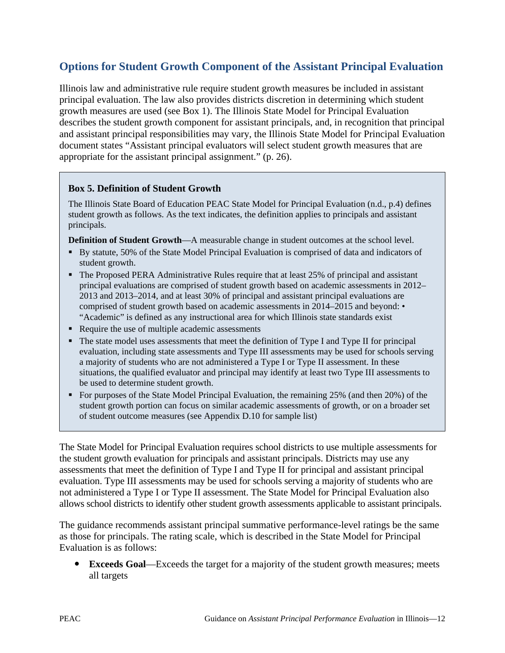## **Options for Student Growth Component of the Assistant Principal Evaluation**

Illinois law and administrative rule require student growth measures be included in assistant principal evaluation. The law also provides districts discretion in determining which student growth measures are used (see Box 1). The Illinois State Model for Principal Evaluation describes the student growth component for assistant principals, and, in recognition that principal and assistant principal responsibilities may vary, the Illinois State Model for Principal Evaluation document states "Assistant principal evaluators will select student growth measures that are appropriate for the assistant principal assignment." (p. 26).

#### **Box 5. Definition of Student Growth**

The Illinois State Board of Education PEAC State Model for Principal Evaluation (n.d., p.4) defines student growth as follows. As the text indicates, the definition applies to principals and assistant principals.

**Definition of Student Growth**—A measurable change in student outcomes at the school level.

- By statute, 50% of the State Model Principal Evaluation is comprised of data and indicators of student growth.
- The Proposed PERA Administrative Rules require that at least 25% of principal and assistant principal evaluations are comprised of student growth based on academic assessments in 2012– 2013 and 2013–2014, and at least 30% of principal and assistant principal evaluations are comprised of student growth based on academic assessments in 2014–2015 and beyond: • "Academic" is defined as any instructional area for which Illinois state standards exist
- Require the use of multiple academic assessments
- The state model uses assessments that meet the definition of Type I and Type II for principal evaluation, including state assessments and Type III assessments may be used for schools serving a majority of students who are not administered a Type I or Type II assessment. In these situations, the qualified evaluator and principal may identify at least two Type III assessments to be used to determine student growth.
- For purposes of the State Model Principal Evaluation, the remaining 25% (and then 20%) of the student growth portion can focus on similar academic assessments of growth, or on a broader set of student outcome measures (see Appendix D.10 for sample list)

The State Model for Principal Evaluation requires school districts to use multiple assessments for the student growth evaluation for principals and assistant principals. Districts may use any assessments that meet the definition of Type I and Type II for principal and assistant principal evaluation. Type III assessments may be used for schools serving a majority of students who are not administered a Type I or Type II assessment. The State Model for Principal Evaluation also allows school districts to identify other student growth assessments applicable to assistant principals.

The guidance recommends assistant principal summative performance-level ratings be the same as those for principals. The rating scale, which is described in the State Model for Principal Evaluation is as follows:

 **Exceeds Goal**—Exceeds the target for a majority of the student growth measures; meets all targets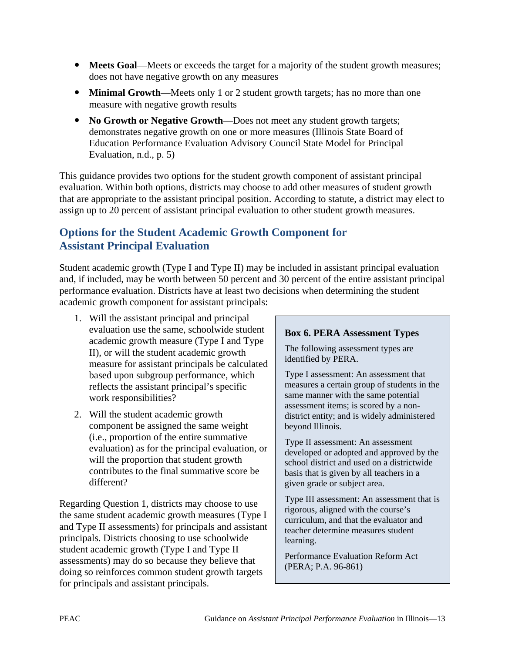- **Meets Goal**—Meets or exceeds the target for a majority of the student growth measures; does not have negative growth on any measures
- **Minimal Growth**—Meets only 1 or 2 student growth targets; has no more than one measure with negative growth results
- No Growth or Negative Growth—Does not meet any student growth targets; demonstrates negative growth on one or more measures (Illinois State Board of Education Performance Evaluation Advisory Council State Model for Principal Evaluation, n.d., p. 5)

This guidance provides two options for the student growth component of assistant principal evaluation. Within both options, districts may choose to add other measures of student growth that are appropriate to the assistant principal position. According to statute, a district may elect to assign up to 20 percent of assistant principal evaluation to other student growth measures.

### **Options for the Student Academic Growth Component for Assistant Principal Evaluation**

Student academic growth (Type I and Type II) may be included in assistant principal evaluation and, if included, may be worth between 50 percent and 30 percent of the entire assistant principal performance evaluation. Districts have at least two decisions when determining the student academic growth component for assistant principals:

- 1. Will the assistant principal and principal evaluation use the same, schoolwide student academic growth measure (Type I and Type II), or will the student academic growth measure for assistant principals be calculated based upon subgroup performance, which reflects the assistant principal's specific work responsibilities?
- 2. Will the student academic growth component be assigned the same weight (i.e., proportion of the entire summative evaluation) as for the principal evaluation, or will the proportion that student growth contributes to the final summative score be different?

Regarding Question 1, districts may choose to use the same student academic growth measures (Type I and Type II assessments) for principals and assistant principals. Districts choosing to use schoolwide student academic growth (Type I and Type II assessments) may do so because they believe that doing so reinforces common student growth targets for principals and assistant principals.

#### **Box 6. PERA Assessment Types**

The following assessment types are identified by PERA.

Type I assessment: An assessment that measures a certain group of students in the same manner with the same potential assessment items; is scored by a nondistrict entity; and is widely administered beyond Illinois.

Type II assessment: An assessment developed or adopted and approved by the school district and used on a districtwide basis that is given by all teachers in a given grade or subject area.

Type III assessment: An assessment that is rigorous, aligned with the course's curriculum, and that the evaluator and teacher determine measures student learning.

Performance Evaluation Reform Act (PERA; P.A. 96-861)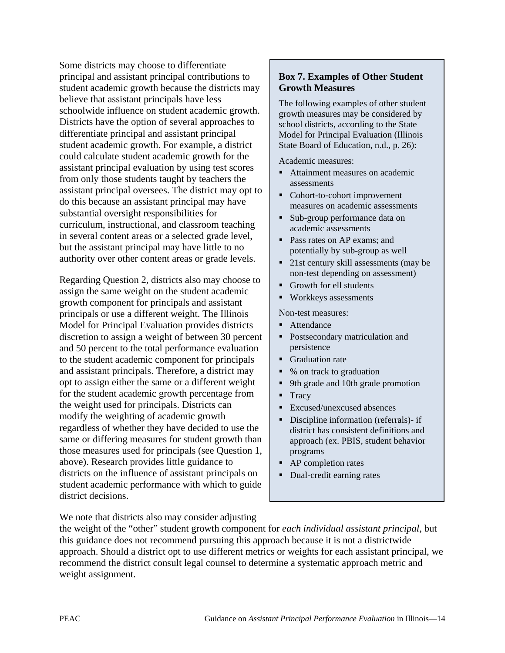Some districts may choose to differentiate principal and assistant principal contributions to student academic growth because the districts may believe that assistant principals have less schoolwide influence on student academic growth. Districts have the option of several approaches to differentiate principal and assistant principal student academic growth. For example, a district could calculate student academic growth for the assistant principal evaluation by using test scores from only those students taught by teachers the assistant principal oversees. The district may opt to do this because an assistant principal may have substantial oversight responsibilities for curriculum, instructional, and classroom teaching in several content areas or a selected grade level, but the assistant principal may have little to no authority over other content areas or grade levels.

Regarding Question 2, districts also may choose to assign the same weight on the student academic growth component for principals and assistant principals or use a different weight. The Illinois Model for Principal Evaluation provides districts discretion to assign a weight of between 30 percent and 50 percent to the total performance evaluation to the student academic component for principals and assistant principals. Therefore, a district may opt to assign either the same or a different weight for the student academic growth percentage from the weight used for principals. Districts can modify the weighting of academic growth regardless of whether they have decided to use the same or differing measures for student growth than those measures used for principals (see Question 1, above). Research provides little guidance to districts on the influence of assistant principals on student academic performance with which to guide district decisions.

#### **Box 7. Examples of Other Student Growth Measures**

The following examples of other student growth measures may be considered by school districts, according to the State Model for Principal Evaluation (Illinois State Board of Education, n.d., p. 26):

Academic measures:

- Attainment measures on academic assessments
- Cohort-to-cohort improvement measures on academic assessments
- Sub-group performance data on academic assessments
- Pass rates on AP exams; and potentially by sub-group as well
- 21st century skill assessments (may be non-test depending on assessment)
- Growth for ell students
- Workkeys assessments

Non-test measures:

- **Attendance**
- **Postsecondary matriculation and** persistence
- **Graduation rate**
- % on track to graduation
- 9th grade and 10th grade promotion
- $Trac{V}{V}$
- **Excused/unexcused absences**
- Discipline information (referrals)- if district has consistent definitions and approach (ex. PBIS, student behavior programs
- AP completion rates
- Dual-credit earning rates

We note that districts also may consider adjusting

the weight of the "other" student growth component for *each individual assistant principal*, but this guidance does not recommend pursuing this approach because it is not a districtwide approach. Should a district opt to use different metrics or weights for each assistant principal, we recommend the district consult legal counsel to determine a systematic approach metric and weight assignment.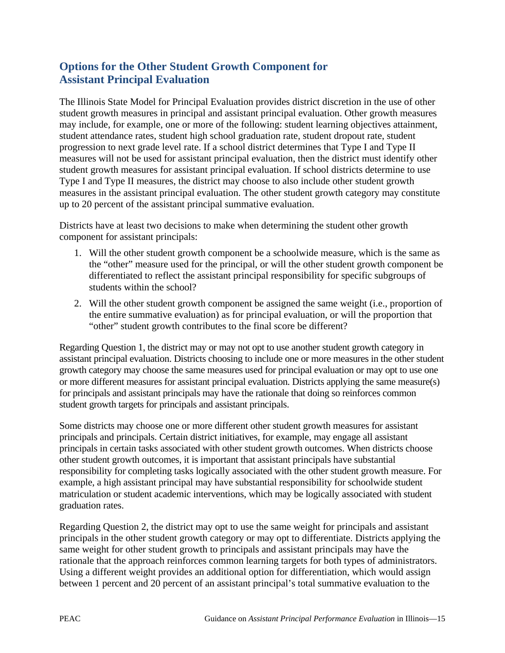## **Options for the Other Student Growth Component for Assistant Principal Evaluation**

The Illinois State Model for Principal Evaluation provides district discretion in the use of other student growth measures in principal and assistant principal evaluation. Other growth measures may include, for example, one or more of the following: student learning objectives attainment, student attendance rates, student high school graduation rate, student dropout rate, student progression to next grade level rate. If a school district determines that Type I and Type II measures will not be used for assistant principal evaluation, then the district must identify other student growth measures for assistant principal evaluation. If school districts determine to use Type I and Type II measures, the district may choose to also include other student growth measures in the assistant principal evaluation. The other student growth category may constitute up to 20 percent of the assistant principal summative evaluation.

Districts have at least two decisions to make when determining the student other growth component for assistant principals:

- 1. Will the other student growth component be a schoolwide measure, which is the same as the "other" measure used for the principal, or will the other student growth component be differentiated to reflect the assistant principal responsibility for specific subgroups of students within the school?
- 2. Will the other student growth component be assigned the same weight (i.e., proportion of the entire summative evaluation) as for principal evaluation, or will the proportion that "other" student growth contributes to the final score be different?

Regarding Question 1, the district may or may not opt to use another student growth category in assistant principal evaluation. Districts choosing to include one or more measures in the other student growth category may choose the same measures used for principal evaluation or may opt to use one or more different measures for assistant principal evaluation. Districts applying the same measure(s) for principals and assistant principals may have the rationale that doing so reinforces common student growth targets for principals and assistant principals.

Some districts may choose one or more different other student growth measures for assistant principals and principals. Certain district initiatives, for example, may engage all assistant principals in certain tasks associated with other student growth outcomes. When districts choose other student growth outcomes, it is important that assistant principals have substantial responsibility for completing tasks logically associated with the other student growth measure. For example, a high assistant principal may have substantial responsibility for schoolwide student matriculation or student academic interventions, which may be logically associated with student graduation rates.

Regarding Question 2, the district may opt to use the same weight for principals and assistant principals in the other student growth category or may opt to differentiate. Districts applying the same weight for other student growth to principals and assistant principals may have the rationale that the approach reinforces common learning targets for both types of administrators. Using a different weight provides an additional option for differentiation, which would assign between 1 percent and 20 percent of an assistant principal's total summative evaluation to the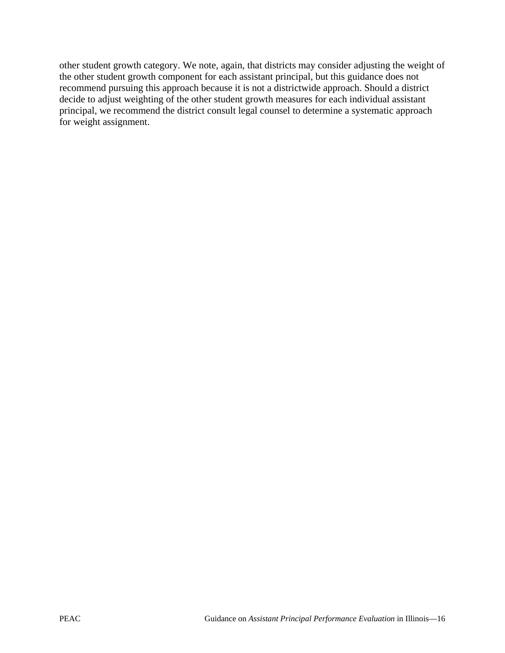other student growth category. We note, again, that districts may consider adjusting the weight of the other student growth component for each assistant principal, but this guidance does not recommend pursuing this approach because it is not a districtwide approach. Should a district decide to adjust weighting of the other student growth measures for each individual assistant principal, we recommend the district consult legal counsel to determine a systematic approach for weight assignment.